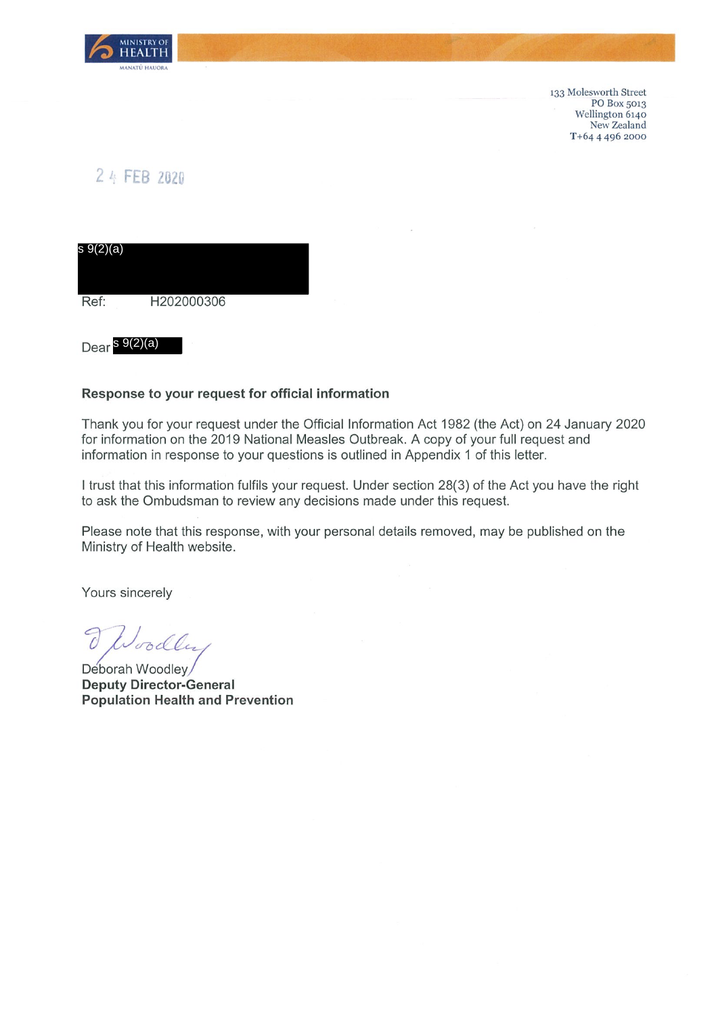

133 Molesworth Street PO Box 5013 Wellington 6140 New Zealand T+64 4 496 2000

## 2 4 FEB 2020

| s 9(2)(a) |            |  |
|-----------|------------|--|
|           |            |  |
| Ref:      | H202000306 |  |

Dear <sup>s 9(2)(a)</sup>

## Response to your request for official information

Thank you for your request under the Official Information Act 1982 (the Act) on 24 January 2020 for information on the 2019 National Measles Outbreak. A copy of your full request and information in response to your questions is outlined in Appendix 1 of this letter.

I trust that this information fulfils your request. Under section 28(3) of the Act you have the right to ask the Ombudsman to review any decisions made under this request.

Please note that this response, with your personal details removed, may be published on the Ministry of Health website.

Yours sincerely

oodly

Deborah Woodley **Deputy Director-General Population Health and Prevention**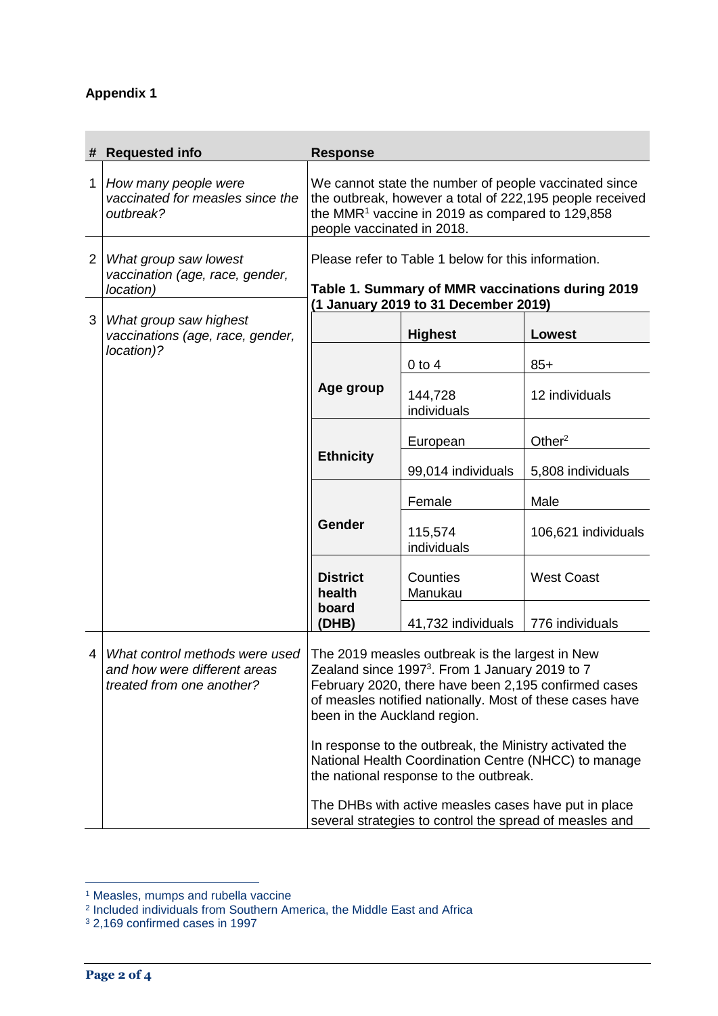## **Appendix 1**

| #              | <b>Requested info</b>                                                                       | <b>Response</b>                                                                                                                                                                                                                                                                                                                                                                                                                                                                                                                                   |                        |                     |
|----------------|---------------------------------------------------------------------------------------------|---------------------------------------------------------------------------------------------------------------------------------------------------------------------------------------------------------------------------------------------------------------------------------------------------------------------------------------------------------------------------------------------------------------------------------------------------------------------------------------------------------------------------------------------------|------------------------|---------------------|
| 1              | How many people were<br>vaccinated for measles since the<br>outbreak?                       | We cannot state the number of people vaccinated since<br>the outbreak, however a total of 222,195 people received<br>the MMR <sup>1</sup> vaccine in 2019 as compared to 129,858<br>people vaccinated in 2018.                                                                                                                                                                                                                                                                                                                                    |                        |                     |
| $\overline{2}$ | What group saw lowest<br>vaccination (age, race, gender,<br>location)                       | Please refer to Table 1 below for this information.<br>Table 1. Summary of MMR vaccinations during 2019<br>(1 January 2019 to 31 December 2019)                                                                                                                                                                                                                                                                                                                                                                                                   |                        |                     |
| 3              | What group saw highest<br>vaccinations (age, race, gender,                                  |                                                                                                                                                                                                                                                                                                                                                                                                                                                                                                                                                   | <b>Highest</b>         | <b>Lowest</b>       |
|                | location)?                                                                                  |                                                                                                                                                                                                                                                                                                                                                                                                                                                                                                                                                   | $0$ to $4$             | $85+$               |
|                |                                                                                             | Age group                                                                                                                                                                                                                                                                                                                                                                                                                                                                                                                                         | 144,728<br>individuals | 12 individuals      |
|                |                                                                                             | <b>Ethnicity</b>                                                                                                                                                                                                                                                                                                                                                                                                                                                                                                                                  | European               | Other <sup>2</sup>  |
|                |                                                                                             |                                                                                                                                                                                                                                                                                                                                                                                                                                                                                                                                                   | 99,014 individuals     | 5,808 individuals   |
|                |                                                                                             | Gender                                                                                                                                                                                                                                                                                                                                                                                                                                                                                                                                            | Female                 | Male                |
|                |                                                                                             |                                                                                                                                                                                                                                                                                                                                                                                                                                                                                                                                                   | 115,574<br>individuals | 106,621 individuals |
|                |                                                                                             | <b>District</b><br>health                                                                                                                                                                                                                                                                                                                                                                                                                                                                                                                         | Counties<br>Manukau    | <b>West Coast</b>   |
|                |                                                                                             | board<br>(DHB)                                                                                                                                                                                                                                                                                                                                                                                                                                                                                                                                    | 41,732 individuals     | 776 individuals     |
| 4              | What control methods were used<br>and how were different areas<br>treated from one another? | The 2019 measles outbreak is the largest in New<br>Zealand since 1997 <sup>3</sup> . From 1 January 2019 to 7<br>February 2020, there have been 2,195 confirmed cases<br>of measles notified nationally. Most of these cases have<br>been in the Auckland region.<br>In response to the outbreak, the Ministry activated the<br>National Health Coordination Centre (NHCC) to manage<br>the national response to the outbreak.<br>The DHBs with active measles cases have put in place<br>several strategies to control the spread of measles and |                        |                     |

 $\overline{a}$ 

<sup>&</sup>lt;sup>1</sup> Measles, mumps and rubella vaccine<br><sup>2</sup> Included individuals from Southern America, the Middle East and Africa

<sup>3</sup> 2,169 confirmed cases in 1997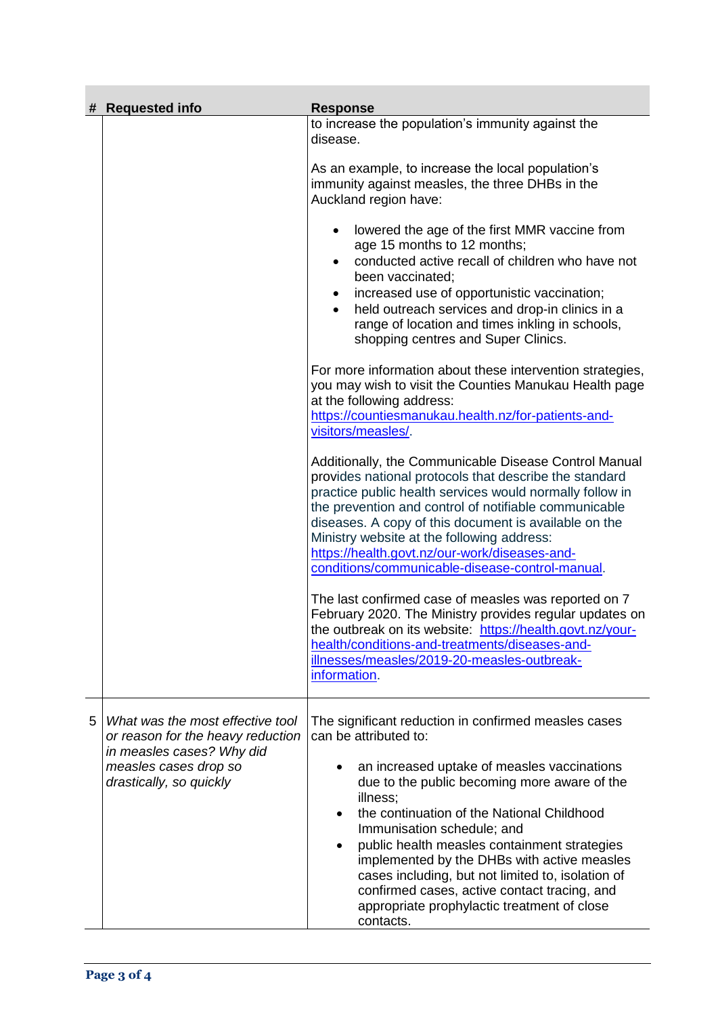| # | <b>Requested info</b>                                                                                                                                  | <b>Response</b>                                                                                                                                                                                                                                                                                                                                                                                                                                                                                                                                                |
|---|--------------------------------------------------------------------------------------------------------------------------------------------------------|----------------------------------------------------------------------------------------------------------------------------------------------------------------------------------------------------------------------------------------------------------------------------------------------------------------------------------------------------------------------------------------------------------------------------------------------------------------------------------------------------------------------------------------------------------------|
|   |                                                                                                                                                        | to increase the population's immunity against the<br>disease.                                                                                                                                                                                                                                                                                                                                                                                                                                                                                                  |
|   |                                                                                                                                                        | As an example, to increase the local population's<br>immunity against measles, the three DHBs in the<br>Auckland region have:                                                                                                                                                                                                                                                                                                                                                                                                                                  |
|   |                                                                                                                                                        | lowered the age of the first MMR vaccine from<br>age 15 months to 12 months;<br>conducted active recall of children who have not<br>been vaccinated;<br>increased use of opportunistic vaccination;<br>$\bullet$<br>held outreach services and drop-in clinics in a<br>range of location and times inkling in schools,<br>shopping centres and Super Clinics.                                                                                                                                                                                                  |
|   |                                                                                                                                                        | For more information about these intervention strategies,<br>you may wish to visit the Counties Manukau Health page<br>at the following address:<br>https://countiesmanukau.health.nz/for-patients-and-<br>visitors/measles/.                                                                                                                                                                                                                                                                                                                                  |
|   |                                                                                                                                                        | Additionally, the Communicable Disease Control Manual<br>provides national protocols that describe the standard<br>practice public health services would normally follow in<br>the prevention and control of notifiable communicable<br>diseases. A copy of this document is available on the<br>Ministry website at the following address:<br>https://health.govt.nz/our-work/diseases-and-<br>conditions/communicable-disease-control-manual.                                                                                                                |
|   |                                                                                                                                                        | The last confirmed case of measles was reported on 7<br>February 2020. The Ministry provides regular updates on<br>the outbreak on its website: https://health.govt.nz/your-<br>health/conditions-and-treatments/diseases-and-<br>illnesses/measles/2019-20-measles-outbreak-<br>information.                                                                                                                                                                                                                                                                  |
| 5 | What was the most effective tool<br>or reason for the heavy reduction<br>in measles cases? Why did<br>measles cases drop so<br>drastically, so quickly | The significant reduction in confirmed measles cases<br>can be attributed to:<br>an increased uptake of measles vaccinations<br>$\bullet$<br>due to the public becoming more aware of the<br>illness;<br>the continuation of the National Childhood<br>Immunisation schedule; and<br>public health measles containment strategies<br>$\bullet$<br>implemented by the DHBs with active measles<br>cases including, but not limited to, isolation of<br>confirmed cases, active contact tracing, and<br>appropriate prophylactic treatment of close<br>contacts. |